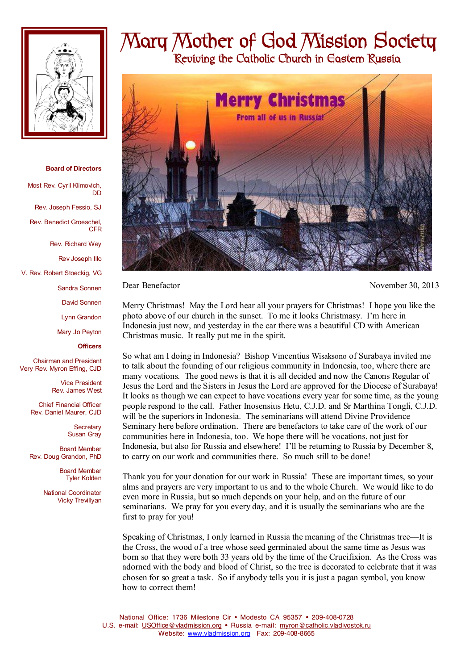

## **Board of Directors**

Most Rev. Cyril Klimovich, DD

Rev. Joseph Fessio, SJ

Rev. Benedict Groeschel, CFR

Rev. Richard Wey

Rev Joseph Illo

V. Rev. Robert Stoeckig, VG

Sandra Sonnen

David Sonnen

Lynn Grandon

Mary Jo Peyton

## **Officers**

Chairman and President Very Rev. Myron Effing, CJD

> Vice President Rev. James West

Chief Financial Officer Rev. Daniel Maurer, CJD

> **Secretary** Susan Gray

Board Member Rev. Doug Grandon, PhD

> Board Member Tyler Kolden

National Coordinator Vicky Trevillyan

## **Mary Mother of God Mission Society**

 **Reviving the Catholic Church in Eastern Russia** 



Dear Benefactor November 30, 2013

Merry Christmas! May the Lord hear all your prayers for Christmas! I hope you like the photo above of our church in the sunset. To me it looks Christmasy. I'm here in Indonesia just now, and yesterday in the car there was a beautiful CD with American Christmas music. It really put me in the spirit.

So what am I doing in Indonesia? Bishop Vincentius Wisaksono of Surabaya invited me to talk about the founding of our religious community in Indonesia, too, where there are many vocations. The good news is that it is all decided and now the Canons Regular of Jesus the Lord and the Sisters in Jesus the Lord are approved for the Diocese of Surabaya! It looks as though we can expect to have vocations every year for some time, as the young people respond to the call. Father Inosensius Hetu, C.J.D. and Sr Marthina Tongli, C.J.D. will be the superiors in Indonesia. The seminarians will attend Divine Providence Seminary here before ordination. There are benefactors to take care of the work of our communities here in Indonesia, too. We hope there will be vocations, not just for Indonesia, but also for Russia and elsewhere! I'll be returning to Russia by December 8, to carry on our work and communities there. So much still to be done!

Thank you for your donation for our work in Russia! These are important times, so your alms and prayers are very important to us and to the whole Church. We would like to do even more in Russia, but so much depends on your help, and on the future of our seminarians. We pray for you every day, and it is usually the seminarians who are the first to pray for you!

Speaking of Christmas, I only learned in Russia the meaning of the Christmas tree—It is the Cross, the wood of a tree whose seed germinated about the same time as Jesus was born so that they were both 33 years old by the time of the Crucifixion. As the Cross was adorned with the body and blood of Christ, so the tree is decorated to celebrate that it was chosen for so great a task. So if anybody tells you it is just a pagan symbol, you know how to correct them!